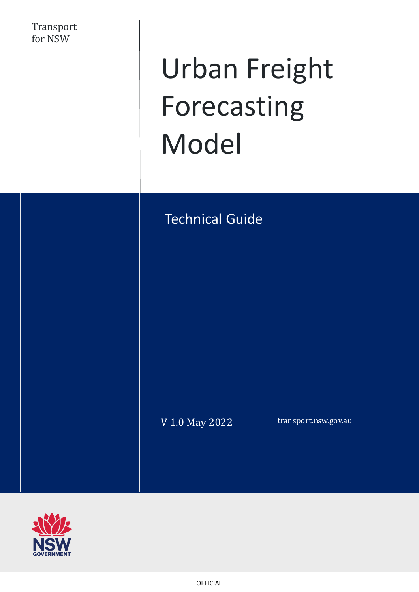

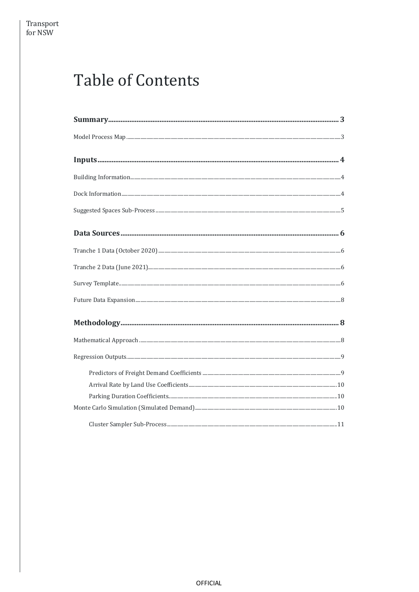# **Table of Contents**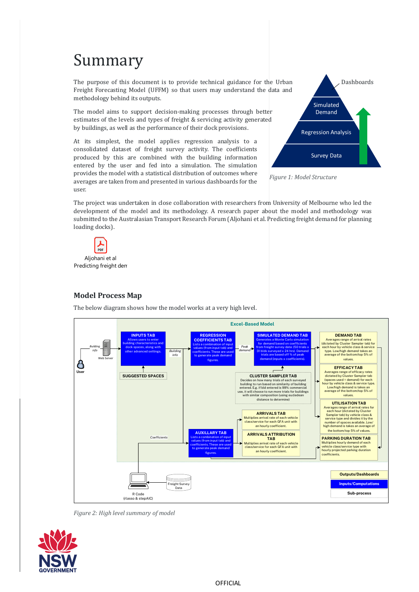# <span id="page-2-0"></span>Summary

The purpose of this document is to provide technical guidance for the Urban Freight Forecasting Model (UFFM) so that users may understand the data and methodology behind its outputs.

The model aims to support decision-making processes through better estimates of the levels and types of freight & servicing activity generated by buildings, as well as the performance of their dock provisions.

At its simplest, the model applies regression analysis to a consolidated dataset of freight survey activity. The coefficients produced by this are combined with the building information entered by the user and fed into a simulation. The simulation provides the model with a statistical distribution of outcomes where averages are taken from and presented in various dashboards for the user.



*Figure 1: Model Structure*

The project was undertaken in close collaboration with researchers from University of Melbourne who led the development of the model and its methodology. A research paper about the model and methodology was submitted to the Australasian Transport Research Forum (Aljohani et al. Predicting freight demand for planning loading docks).



# <span id="page-2-1"></span>**Model Process Map**

The below diagram shows how the model works at a very high level.



*Figure 2: High level summary of model*

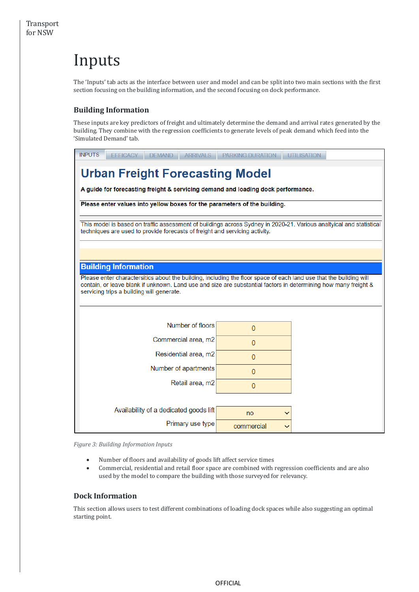# <span id="page-3-0"></span>Inputs

The 'Inputs' tab acts as the interface between user and model and can be split into two main sections with the first section focusing on the building information, and the second focusing on dock performance.

# <span id="page-3-1"></span>**Building Information**

These inputs are key predictors of freight and ultimately determine the demand and arrival rates generated by the building. They combine with the regression coefficients to generate levels of peak demand which feed into the 'Simulated Demand' tab.

# **Urban Freight Forecasting Model**

A guide for forecasting freight & servicing demand and loading dock performance.

Please enter values into yellow boxes for the parameters of the building.

This model is based on traffic assessment of buildings across Sydney in 2020-21. Various analtyical and statistical techniques are used to provide forecasts of freight and servicing activity.

# **Building Information**

Please enter charactersitics about the building, including the floor space of each land use that the building will contain, or leave blank if unknown. Land use and size are substantial factors in determining how many freight & servicing trips a building will generate.

| Number of floors                       | $\Omega$                   |  |
|----------------------------------------|----------------------------|--|
| Commercial area, m2                    | $\Omega$                   |  |
| Residential area, m2                   | $\theta$                   |  |
| Number of apartments                   | 0                          |  |
| Retail area, m2                        | $\mathbf{0}$               |  |
|                                        |                            |  |
| Availability of a dedicated goods lift | no<br>$\checkmark$         |  |
| Primary use type                       | commercial<br>$\checkmark$ |  |

*Figure 3: Building Information Inputs*

- Number of floors and availability of goods lift affect service times
- Commercial, residential and retail floor space are combined with regression coefficients and are also used by the model to compare the building with those surveyed for relevancy.

# <span id="page-3-2"></span>**Dock Information**

This section allows users to test different combinations of loading dock spaces while also suggesting an optimal starting point.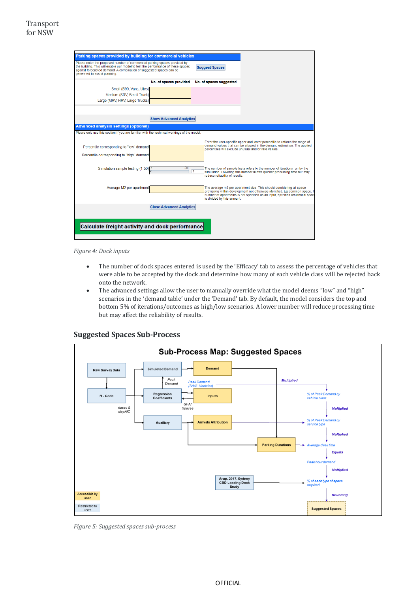| Parking spaces provided by building for commercial vehicles                                                                                                                                                                                                           |                                 |                                      |                                                                                                                                                              |
|-----------------------------------------------------------------------------------------------------------------------------------------------------------------------------------------------------------------------------------------------------------------------|---------------------------------|--------------------------------------|--------------------------------------------------------------------------------------------------------------------------------------------------------------|
| Please enter the proposed number of commercial parking spaces provided by<br>the building. This will enable our model to test the performance of these spaces<br>against forecasted demand. A combination of suggested spaces can be<br>generated to assist planning. |                                 | <b>Suggest Spaces</b>                |                                                                                                                                                              |
|                                                                                                                                                                                                                                                                       | No. of spaces provided          | No. of spaces suggested              |                                                                                                                                                              |
| Small (B99, Vans, Utes)                                                                                                                                                                                                                                               |                                 |                                      |                                                                                                                                                              |
| Medium (SRV, Small Truck)                                                                                                                                                                                                                                             |                                 |                                      |                                                                                                                                                              |
| Large (MRV, HRV, Large Trucks)                                                                                                                                                                                                                                        |                                 |                                      |                                                                                                                                                              |
|                                                                                                                                                                                                                                                                       |                                 |                                      |                                                                                                                                                              |
|                                                                                                                                                                                                                                                                       |                                 |                                      |                                                                                                                                                              |
|                                                                                                                                                                                                                                                                       | <b>Show Advanced Analytics</b>  |                                      |                                                                                                                                                              |
| <b>Advanced analysis settings (optional)</b>                                                                                                                                                                                                                          |                                 |                                      |                                                                                                                                                              |
| Please only use this section if you are familiar with the technical workings of the model.                                                                                                                                                                            |                                 |                                      |                                                                                                                                                              |
|                                                                                                                                                                                                                                                                       |                                 |                                      | Enter the user-specific upper and lower percentile to enforce the range of                                                                                   |
| Percentile corresponding to "low" demand                                                                                                                                                                                                                              |                                 |                                      | demand values that can be allowed in the demand estimation. The applied<br>percentiles will exclude unusual and/or rare values.                              |
| Percentile corresponding to "high" demand                                                                                                                                                                                                                             |                                 |                                      |                                                                                                                                                              |
|                                                                                                                                                                                                                                                                       |                                 |                                      |                                                                                                                                                              |
| Simulation sample testing (1-50) <sup>1</sup>                                                                                                                                                                                                                         | 50                              |                                      | The number of sample tests refers to the number of iterations run by the                                                                                     |
|                                                                                                                                                                                                                                                                       |                                 | 11<br>reduce reliability of results. | simulation. Lowering this number allows quicker processing time but may                                                                                      |
|                                                                                                                                                                                                                                                                       |                                 |                                      |                                                                                                                                                              |
| Average M2 per apartment                                                                                                                                                                                                                                              |                                 |                                      | The average m3 per apartment size. This should considering all space                                                                                         |
|                                                                                                                                                                                                                                                                       |                                 |                                      | provisions within development not otherwise identified. Eq common space. I<br>number of apartments is not specified as an input, specified residential space |
|                                                                                                                                                                                                                                                                       |                                 | is divided by this amount.           |                                                                                                                                                              |
|                                                                                                                                                                                                                                                                       | <b>Close Advanced Analytics</b> |                                      |                                                                                                                                                              |
|                                                                                                                                                                                                                                                                       |                                 |                                      |                                                                                                                                                              |
|                                                                                                                                                                                                                                                                       |                                 |                                      |                                                                                                                                                              |
| Calculate freight activity and dock performance                                                                                                                                                                                                                       |                                 |                                      |                                                                                                                                                              |
|                                                                                                                                                                                                                                                                       |                                 |                                      |                                                                                                                                                              |
|                                                                                                                                                                                                                                                                       |                                 |                                      |                                                                                                                                                              |

*Figure 4: Dock inputs*

- The number of dock spaces entered is used by the 'Efficacy' tab to assess the percentage of vehicles that were able to be accepted by the dock and determine how many of each vehicle class will be rejected back onto the network.
- The advanced settings allow the user to manually override what the model deems "low" and "high" scenarios in the 'demand table' under the 'Demand' tab. By default, the model considers the top and bottom 5% of iterations/outcomes as high/low scenarios. A lower number will reduce processing time but may affect the reliability of results.



### <span id="page-4-0"></span>**Suggested Spaces Sub-Process**

*Figure 5: Suggested spaces sub-process*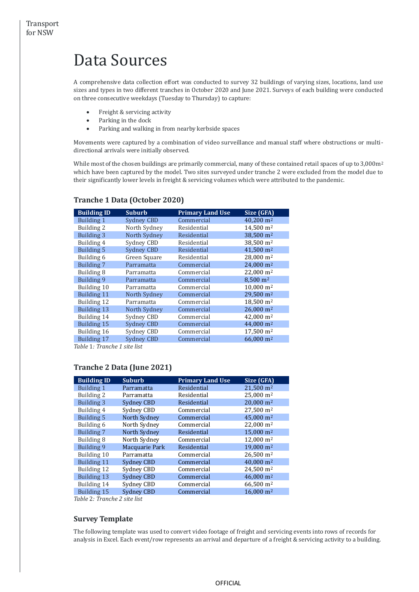# <span id="page-5-0"></span>Data Sources

A comprehensive data collection effort was conducted to survey 32 buildings of varying sizes, locations, land use sizes and types in two different tranches in October 2020 and June 2021. Surveys of each building were conducted on three consecutive weekdays (Tuesday to Thursday) to capture:

- Freight & servicing activity
- Parking in the dock
- Parking and walking in from nearby kerbside spaces

Movements were captured by a combination of video surveillance and manual staff where obstructions or multidirectional arrivals were initially observed.

While most of the chosen buildings are primarily commercial, many of these contained retail spaces of up to 3,000m<sup>2</sup> which have been captured by the model. Two sites surveyed under tranche 2 were excluded from the model due to their significantly lower levels in freight & servicing volumes which were attributed to the pandemic.

| <b>Building ID</b> | <b>Suburb</b>     | <b>Primary Land Use</b> | Size (GFA)            |
|--------------------|-------------------|-------------------------|-----------------------|
| <b>Building 1</b>  | <b>Sydney CBD</b> | Commercial              | 40,200 m <sup>2</sup> |
| Building 2         | North Sydney      | Residential             | 14,500 m <sup>2</sup> |
| <b>Building 3</b>  | North Sydney      | Residential             | 38,500 m <sup>2</sup> |
| Building 4         | Sydney CBD        | Residential             | 38.500 m <sup>2</sup> |
| <b>Building 5</b>  | <b>Sydney CBD</b> | Residential             | 41,500 m <sup>2</sup> |
| Building 6         | Green Square      | Residential             | 28,000 m <sup>2</sup> |
| <b>Building 7</b>  | Parramatta        | Commercial              | 24,000 m <sup>2</sup> |
| Building 8         | Parramatta        | Commercial              | 22,000 m <sup>2</sup> |
| Building 9         | Parramatta        | Commercial              | 8,500 m <sup>2</sup>  |
| Building 10        | Parramatta        | Commercial              | $10,000 \text{ m}^2$  |
| <b>Building 11</b> | North Sydney      | Commercial              | 29,500 m <sup>2</sup> |
| Building 12        | Parramatta        | Commercial              | 18,500 m <sup>2</sup> |
| Building 13        | North Sydney      | Commercial              | 26,000 m <sup>2</sup> |
| Building 14        | Sydney CBD        | Commercial              | 42,000 m <sup>2</sup> |
| Building 15        | <b>Sydney CBD</b> | Commercial              | 44,000 m <sup>2</sup> |
| Building 16        | Sydney CBD        | Commercial              | 17,500 m <sup>2</sup> |
| Building 17        | <b>Sydney CBD</b> | Commercial              | 66,000 m <sup>2</sup> |
| milam laulu        |                   |                         |                       |

# <span id="page-5-1"></span>**Tranche 1 Data (October 2020)**

<span id="page-5-2"></span>*Table* 1*: Tranche 1 site list*

# **Tranche 2 Data (June 2021)**

| <b>Building ID</b> | <b>Suburb</b>     | <b>Primary Land Use</b> | Size (GFA)               |
|--------------------|-------------------|-------------------------|--------------------------|
| Building 1         | Parramatta        | Residential             | $21.500 \text{ m}^2$     |
| Building 2         | Parramatta        | Residential             | $25.000 \; \mathrm{m}^2$ |
| <b>Building 3</b>  | <b>Sydney CBD</b> | Residential             | $20.000$ m <sup>2</sup>  |
| Building 4         | Sydney CBD        | Commercial              | 27.500 m <sup>2</sup>    |
| <b>Building 5</b>  | North Sydney      | Commercial              | 45.000 m <sup>2</sup>    |
| Building 6         | North Sydney      | Commercial              | $22.000 \text{ m}^2$     |
| <b>Building 7</b>  | North Sydney      | Residential             | 15,000 m <sup>2</sup>    |
| Building 8         | North Sydney      | Commercial              | 12.000 m <sup>2</sup>    |
| Building 9         | Macquarie Park    | Residential             | $19.000 \text{ m}^2$     |
| Building 10        | Parramatta        | Commercial              | $26.500 \text{ m}^2$     |
| Building 11        | <b>Sydney CBD</b> | Commercial              | $40,000 \text{ m}^2$     |
| Building 12        | Sydney CBD        | Commercial              | 24.500 m <sup>2</sup>    |
| Building 13        | <b>Sydney CBD</b> | Commercial              | $46.000$ m <sup>2</sup>  |
| Building 14        | Sydney CBD        | Commercial              | 66,500 m <sup>2</sup>    |
| <b>Building 15</b> | <b>Sydney CBD</b> | Commercial              | $16,000 \text{ m}^2$     |

*Table* 2*: Tranche 2 site list*

### <span id="page-5-3"></span>**Survey Template**

The following template was used to convert video footage of freight and servicing events into rows of records for analysis in Excel. Each event/row represents an arrival and departure of a freight & servicing activity to a building.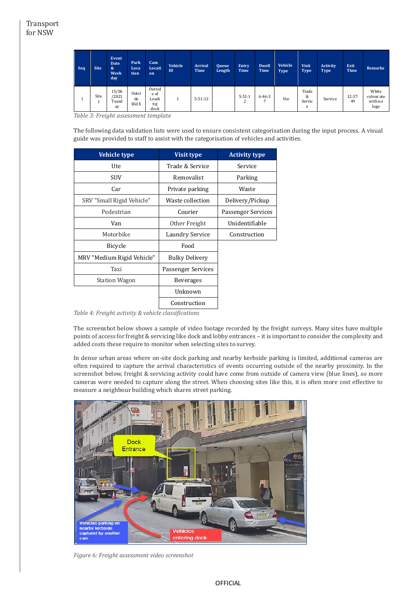| Seq | <b>Site</b> | Event<br><b>Date</b><br>$\boldsymbol{\mathcal{S}}$<br><b>Week</b><br>day | Park<br>Loca<br>tion | Cam<br>Locati<br>on                   | <b>Vehicle</b><br>ID | <b>Arrival</b><br>Time | <b>Queue</b><br>Length | Entry<br><b>Time</b> | Dwell<br>Time | <b>Vehicle</b><br><b>Type</b> | <b>Visit</b><br><b>Type</b> | Activity<br><b>Type</b> | Exit<br>Time | Remarks                                |
|-----|-------------|--------------------------------------------------------------------------|----------------------|---------------------------------------|----------------------|------------------------|------------------------|----------------------|---------------|-------------------------------|-----------------------------|-------------------------|--------------|----------------------------------------|
|     | Site        | 15/06<br>/2021<br>Tuesd<br>ay                                            | Outsi<br>de<br>Bld X | Outsid<br>e of<br>Loadi<br>ng<br>dock |                      | 5:51:12                |                        | 5:51:1<br>∠          | 6:46:3<br>⇁   | Ute                           | Trade<br>&<br>Servic<br>e   | Service                 | 12:37:<br>49 | White<br>colour ute<br>with no<br>logo |

*Table 3: Freight assessment template*

The following data validation lists were used to ensure consistent categorisation during the input process. A visual guide was provided to staff to assist with the categorisation of vehicles and activities.

| <b>Vehicle type</b>        | <b>Visit type</b>     | <b>Activity type</b> |
|----------------------------|-----------------------|----------------------|
| Ute                        | Trade & Service       | Service              |
| SUV                        | <b>Removalist</b>     | Parking              |
| Car                        | Private parking       | Waste                |
| SRV "Small Rigid Vehicle"  | Waste collection      | Delivery/Pickup      |
| Pedestrian                 | Courier               | Passenger Services   |
| Van                        | Other Freight         | Unidentifiable       |
| Motorbike                  | Laundry Service       | Construction         |
| Bicycle                    | Food                  |                      |
| MRV "Medium Rigid Vehicle" | <b>Bulky Delivery</b> |                      |
| Taxi                       | Passenger Services    |                      |
| <b>Station Wagon</b>       | <b>Beverages</b>      |                      |
|                            | Unknown               |                      |
|                            | Construction          |                      |

*Table 4: Freight activity & vehicle classifications*

The screenshot below shows a sample of video footage recorded by the freight surveys. Many sites have multiple points of access for freight & servicing like dock and lobby entrances – it is important to consider the complexity and added costs these require to monitor when selecting sites to survey.

In dense urban areas where on-site dock parking and nearby kerbside parking is limited, additional cameras are often required to capture the arrival characteristics of events occurring outside of the nearby proximity. In the screenshot below, freight & servicing activity could have come from outside of camera view (blue lines), so more cameras were needed to capture along the street. When choosing sites like this, it is often more cost effective to measure a neighbour building which shares street parking.



*Figure 6: Freight assessment video screenshot*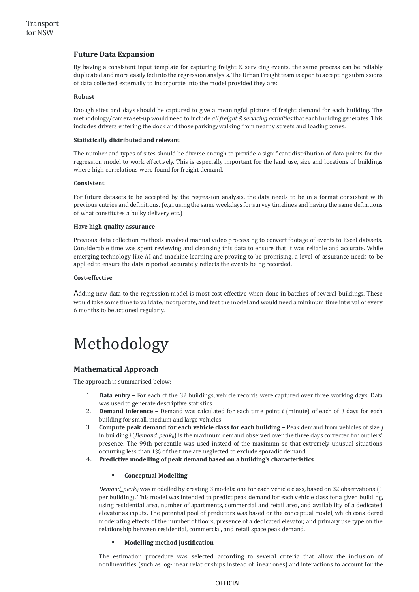# <span id="page-7-0"></span>**Future Data Expansion**

By having a consistent input template for capturing freight & servicing events, the same process can be reliably duplicated and more easily fed into the regression analysis. The Urban Freight team is open to accepting submissions of data collected externally to incorporate into the model provided they are:

### **Robust**

Enough sites and days should be captured to give a meaningful picture of freight demand for each building. The methodology/camera set-up would need to include *all freight & servicing activities* that each building generates. This includes drivers entering the dock and those parking/walking from nearby streets and loading zones.

#### **Statistically distributed and relevant**

The number and types of sites should be diverse enough to provide a significant distribution of data points for the regression model to work effectively. This is especially important for the land use, size and locations of buildings where high correlations were found for freight demand.

#### **Consistent**

For future datasets to be accepted by the regression analysis, the data needs to be in a format consistent with previous entries and definitions. (e.g., using the same weekdays for survey timelines and having the same definitions of what constitutes a bulky delivery etc.)

#### **Have high quality assurance**

Previous data collection methods involved manual video processing to convert footage of events to Excel datasets. Considerable time was spent reviewing and cleansing this data to ensure that it was reliable and accurate. While emerging technology like AI and machine learning are proving to be promising, a level of assurance needs to be applied to ensure the data reported accurately reflects the events being recorded.

#### **Cost-effective**

Adding new data to the regression model is most cost effective when done in batches of several buildings. These would take some time to validate, incorporate, and test the model and would need a minimum time interval of every 6 months to be actioned regularly.

# <span id="page-7-1"></span>Methodology

# <span id="page-7-2"></span>**Mathematical Approach**

The approach is summarised below:

- 1. **Data entry –** For each of the 32 buildings, vehicle records were captured over three working days. Data was used to generate descriptive statistics
- 2. **Demand inference –** Demand was calculated for each time point *t* (minute) of each of 3 days for each building for small, medium and large vehicles
- 3. **Compute peak demand for each vehicle class for each building –** Peak demand from vehicles of size *j* in building *i* (*Demand\_peakij*) is the maximum demand observed over the three days corrected for outliers' presence. The 99th percentile was used instead of the maximum so that extremely unusual situations occurring less than 1% of the time are neglected to exclude sporadic demand.
- **4. Predictive modelling of peak demand based on a building's characteristics**

### ▪ **Conceptual Modelling**

*Demand\_peakij* was modelled by creating 3 models: one for each vehicle class, based on 32 observations (1 per building). This model was intended to predict peak demand for each vehicle class for a given building, using residential area, number of apartments, commercial and retail area, and availability of a dedicated elevator as inputs. The potential pool of predictors was based on the conceptual model, which considered moderating effects of the number of floors, presence of a dedicated elevator, and primary use type on the relationship between residential, commercial, and retail space peak demand.

### ▪ **Modelling method justification**

The estimation procedure was selected according to several criteria that allow the inclusion of nonlinearities (such as log-linear relationships instead of linear ones) and interactions to account for the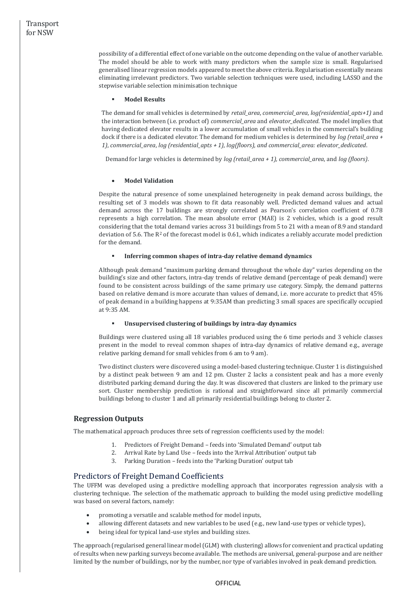possibility of a differential effect of one variable on the outcome depending on the value of another variable. The model should be able to work with many predictors when the sample size is small. Regularised generalised linear regression models appeared to meet the above criteria. Regularisation essentially means eliminating irrelevant predictors. Two variable selection techniques were used, including LASSO and the stepwise variable selection minimisation technique

### ▪ **Model Results**

The demand for small vehicles is determined by *retail\_area*, *commercial\_area*, *log(residential\_apts+1)* and the interaction between (i.e. product of) *commercial\_area* and *elevator\_dedicated*. The model implies that having dedicated elevator results in a lower accumulation of small vehicles in the commercial's building dock if there is a dedicated elevator. The demand for medium vehicles is determined by *log (retail\_area + 1)*, *commercial\_area*, *log (residential\_apts + 1)*, *log(floors), and commercial\_area: elevator\_dedicated*.

Demand for large vehicles is determined by *log (retail\_area + 1), commercial\_area*, and *log (floors)*.

### • **Model Validation**

Despite the natural presence of some unexplained heterogeneity in peak demand across buildings, the resulting set of 3 models was shown to fit data reasonably well. Predicted demand values and actual demand across the 17 buildings are strongly correlated as Pearson's correlation coefficient of 0.78 represents a high correlation. The mean absolute error (MAE) is 2 vehicles, which is a good result considering that the total demand varies across 31 buildings from 5 to 21 with a mean of 8.9 and standard deviation of 5.6. The  $R^2$  of the forecast model is 0.61, which indicates a reliably accurate model prediction for the demand.

### ▪ **Inferring common shapes of intra-day relative demand dynamics**

Although peak demand "maximum parking demand throughout the whole day" varies depending on the building's size and other factors, intra-day trends of relative demand (percentage of peak demand) were found to be consistent across buildings of the same primary use category. Simply, the demand patterns based on relative demand is more accurate than values of demand, i.e. more accurate to predict that 45% of peak demand in a building happens at 9:35AM than predicting 3 small spaces are specifically occupied at 9:35 AM.

### ▪ **Unsupervised clustering of buildings by intra-day dynamics**

Buildings were clustered using all 18 variables produced using the 6 time periods and 3 vehicle classes present in the model to reveal common shapes of intra-day dynamics of relative demand e.g., average relative parking demand for small vehicles from 6 am to 9 am).

Two distinct clusters were discovered using a model-based clustering technique. Cluster 1 is distinguished by a distinct peak between 9 am and 12 pm. Cluster 2 lacks a consistent peak and has a more evenly distributed parking demand during the day. It was discovered that clusters are linked to the primary use sort. Cluster membership prediction is rational and straightforward since all primarily commercial buildings belong to cluster 1 and all primarily residential buildings belong to cluster 2.

# <span id="page-8-0"></span>**Regression Outputs**

The mathematical approach produces three sets of regression coefficients used by the model:

- 1. Predictors of Freight Demand feeds into 'Simulated Demand' output tab
- 2. Arrival Rate by Land Use feeds into the 'Arrival Attribution' output tab
- 3. Parking Duration feeds into the 'Parking Duration' output tab

# <span id="page-8-1"></span>Predictors of Freight Demand Coefficients

The UFFM was developed using a predictive modelling approach that incorporates regression analysis with a clustering technique. The selection of the mathematic approach to building the model using predictive modelling was based on several factors, namely:

- promoting a versatile and scalable method for model inputs,
- allowing different datasets and new variables to be used (e.g., new land-use types or vehicle types),
- being ideal for typical land-use styles and building sizes.

The approach (regularised general linear model (GLM) with clustering) allows for convenient and practical updating of results when new parking surveys become available. The methods are universal, general-purpose and are neither limited by the number of buildings, nor by the number, nor type of variables involved in peak demand prediction.

### OFFICIAL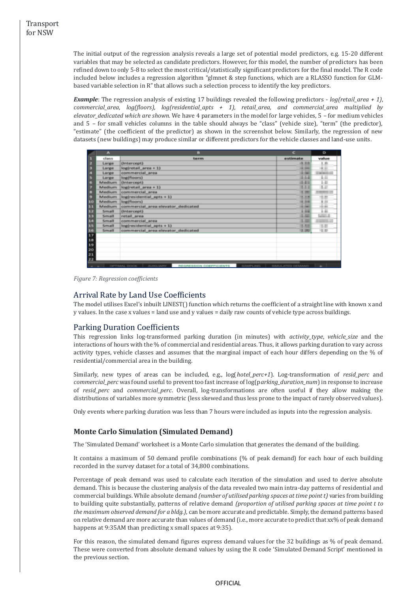The initial output of the regression analysis reveals a large set of potential model predictors, e.g. 15-20 different variables that may be selected as candidate predictors. However, for this model, the number of predictors has been refined down to only 5-8 to select the most critical/statistically significant predictors for the final model. The R code included below includes a regression algorithm "glmnet & step functions, which are a RLASSO function for GLMbased variable selection in R" that allows such a selection process to identify the key predictors.

*Example*: The regression analysis of existing 17 buildings revealed the following predictors - *log(retail\_area + 1)*, *commercial\_area*, *log(floors)*, *log(residential\_apts + 1)*, *retail\_area, and commercial\_area multiplied by elevator\_dedicated which are shown.* We have 4 parameters in the model for large vehicles, 5 – for medium vehicles and 5 – for small vehicles columns in the table should always be "class" (vehicle size), "term" (the predictor), "estimate" (the coefficient of the predictor) as shown in the screenshot below. Similarly, the regression of new datasets (new buildings) may produce similar or different predictors for the vehicle classes and land-use units.

|                                                            | $\overline{A}$ | $\mathbf{B}$                                                             | $\epsilon$          | $\circ$                  |
|------------------------------------------------------------|----------------|--------------------------------------------------------------------------|---------------------|--------------------------|
| п                                                          | class          | term                                                                     | estimate            | value                    |
| z                                                          | Large          | (Intercept)                                                              | 夜の間                 | LB.                      |
| в                                                          | Large          | $log(reta)$ area $+1$ )                                                  | <b>CALL COMPANY</b> |                          |
| A                                                          | Large          | commercial area                                                          | <b>COLOR</b>        | <b><i>CONTRACTOR</i></b> |
| Б                                                          | Large          | log(floors)                                                              | 444                 | ш                        |
| 6                                                          | Medium         | (Intercept)                                                              | 19.916              | m                        |
| 7                                                          | Medium         | $log(retail area + 1)$                                                   | 1.1.1               | <b>LE</b>                |
| 8                                                          | Medium         | commercial area                                                          | 1.00                | <b>CARD IN</b>           |
| Ð                                                          | Medium         | $log(residental_apts + 1)$                                               | 1.11                | m<br>-                   |
| 10                                                         | Medium         | log(floors)                                                              |                     | $-$                      |
| 3.3                                                        | Medium         | commercial area:elevator_dedicated                                       | <b>CALL CARDS</b>   | ÷                        |
| 12                                                         | Small          | (Intercept)                                                              |                     |                          |
| 13                                                         | Small          | retail area                                                              | 1.00                | <b>MALL</b>              |
| 3.4                                                        | Small          | commercial area                                                          | 1.00                | <b>STATISTICS</b>        |
| 15                                                         | Small          | $log(residental_apts + 1)$                                               | 1.55                | 1.0                      |
|                                                            | Small          | commercial_area:elevator_dedicated                                       | 13.393              | U.U                      |
| $\begin{array}{c}\n 16 \\ \hline\n 17 \\ 18\n \end{array}$ |                |                                                                          |                     |                          |
|                                                            |                |                                                                          |                     |                          |
| 19                                                         |                |                                                                          |                     |                          |
| 20                                                         |                |                                                                          |                     |                          |
| 21                                                         |                |                                                                          |                     |                          |
| 22                                                         |                |                                                                          |                     |                          |
| $-$                                                        |                | <b>AUXILIARY</b><br>OPTIMAL DOCK<br>REGRESSION COEFFICIENTS<br>SAMPLING. | SIMULATED DEMAND    | $+$                      |

*Figure 7: Regression coefficients*

### <span id="page-9-0"></span>Arrival Rate by Land Use Coefficients

The model utilises Excel's inbuilt LINEST() function which returns the coefficient of a straight line with known x and y values. In the case x values = land use and y values = daily raw counts of vehicle type across buildings.

# <span id="page-9-1"></span>Parking Duration Coefficients

This regression links log-transformed parking duration (in minutes) with *activity\_type*, *vehicle\_size* and the interactions of hours with the % of commercial and residential areas. Thus, it allows parking duration to vary across activity types, vehicle classes and assumes that the marginal impact of each hour differs depending on the % of residential/commercial area in the building.

Similarly, new types of areas can be included, e.g., log(*hotel\_perc+1*). Log-transformation of *resid\_perc* and *commercial\_perc* was found useful to prevent too fast increase of log(p*arking\_duration\_num*) in response to increase of *resid\_perc* and *commercial\_perc*. Overall, log-transformations are often useful if they allow making the distributions of variables more symmetric (less skewed and thus less prone to the impact of rarely observed values).

Only events where parking duration was less than 7 hours were included as inputs into the regression analysis.

# <span id="page-9-2"></span>**Monte Carlo Simulation (Simulated Demand)**

The 'Simulated Demand' worksheet is a Monte Carlo simulation that generates the demand of the building.

It contains a maximum of 50 demand profile combinations (% of peak demand) for each hour of each building recorded in the survey dataset for a total of 34,800 combinations.

Percentage of peak demand was used to calculate each iteration of the simulation and used to derive absolute demand. This is because the clustering analysis of the data revealed two main intra-day patterns of residential and commercial buildings. While absolute demand *(number of utilised parking spaces at time point t)* varies from building to building quite substantially, patterns of relative demand *(proportion of utilised parking spaces at time point t to the maximum observed demand for a bldg.)*, can be more accurate and predictable. Simply, the demand patterns based on relative demand are more accurate than values of demand (i.e., more accurate to predict that xx% of peak demand happens at 9:35AM than predicting x small spaces at 9:35).

For this reason, the simulated demand figures express demand values for the 32 buildings as % of peak demand. These were converted from absolute demand values by using the R code 'Simulated Demand Script' mentioned in the previous section.

### **OFFICIAL**